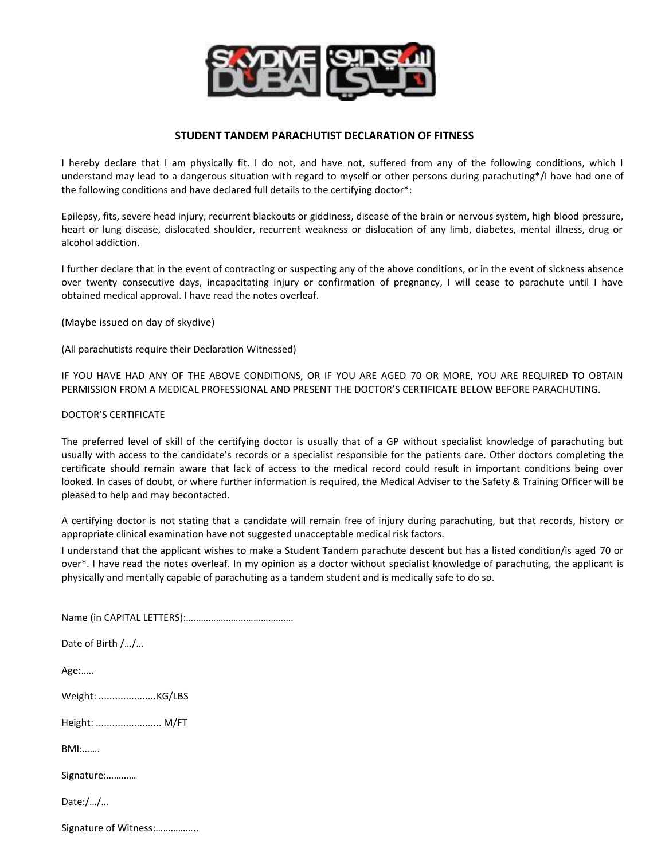

## **STUDENT TANDEM PARACHUTIST DECLARATION OF FITNESS**

I hereby declare that I am physically fit. I do not, and have not, suffered from any of the following conditions, which I understand may lead to a dangerous situation with regard to myself or other persons during parachuting\*/I have had one of the following conditions and have declared full details to the certifying doctor\*:

Epilepsy, fits, severe head injury, recurrent blackouts or giddiness, disease of the brain or nervous system, high blood pressure, heart or lung disease, dislocated shoulder, recurrent weakness or dislocation of any limb, diabetes, mental illness, drug or alcohol addiction.

I further declare that in the event of contracting or suspecting any of the above conditions, or in the event of sickness absence over twenty consecutive days, incapacitating injury or confirmation of pregnancy, I will cease to parachute until I have obtained medical approval. I have read the notes overleaf.

(Maybe issued on day of skydive)

(All parachutists require their Declaration Witnessed)

IF YOU HAVE HAD ANY OF THE ABOVE CONDITIONS, OR IF YOU ARE AGED 70 OR MORE, YOU ARE REQUIRED TO OBTAIN PERMISSION FROM A MEDICAL PROFESSIONAL AND PRESENT THE DOCTOR'S CERTIFICATE BELOW BEFORE PARACHUTING.

## DOCTOR'S CERTIFICATE

The preferred level of skill of the certifying doctor is usually that of a GP without specialist knowledge of parachuting but usually with access to the candidate's records or a specialist responsible for the patients care. Other doctors completing the certificate should remain aware that lack of access to the medical record could result in important conditions being over looked. In cases of doubt, or where further information is required, the Medical Adviser to the Safety & Training Officer will be pleased to help and may becontacted.

A certifying doctor is not stating that a candidate will remain free of injury during parachuting, but that records, history or appropriate clinical examination have not suggested unacceptable medical risk factors.

I understand that the applicant wishes to make a Student Tandem parachute descent but has a listed condition/is aged 70 or over\*. I have read the notes overleaf. In my opinion as a doctor without specialist knowledge of parachuting, the applicant is physically and mentally capable of parachuting as a tandem student and is medically safe to do so.

| Date of Birth //      |
|-----------------------|
|                       |
| Age:                  |
|                       |
|                       |
| Height:  M/FT         |
|                       |
| $BM: \dots$           |
|                       |
| Signature:            |
| Date://               |
|                       |
| Signature of Witness: |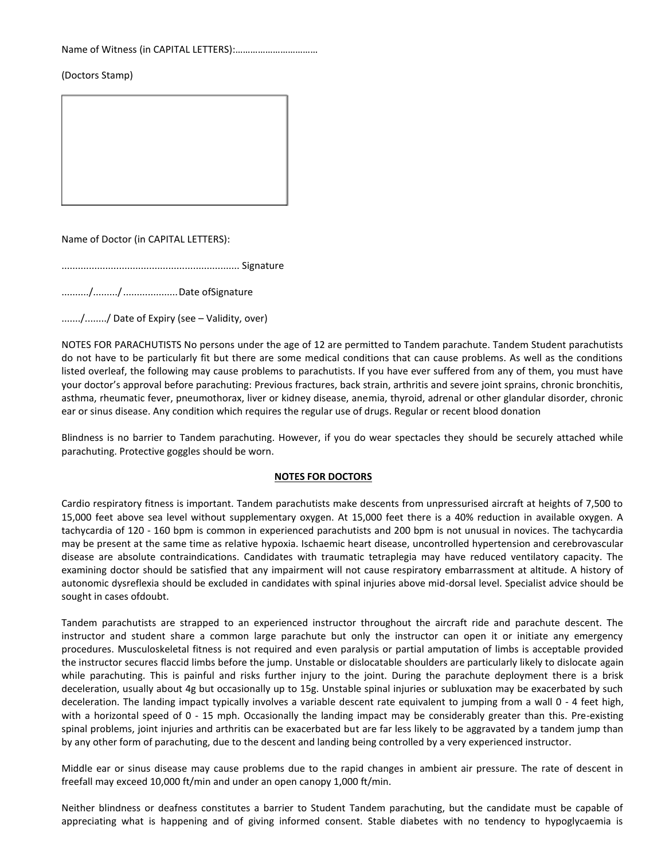Name of Witness (in CAPITAL LETTERS):……………………………

(Doctors Stamp)

Name of Doctor (in CAPITAL LETTERS):

................................................................. Signature

........../........./....................Date ofSignature

......./......../ Date of Expiry (see – Validity, over)

NOTES FOR PARACHUTISTS No persons under the age of 12 are permitted to Tandem parachute. Tandem Student parachutists do not have to be particularly fit but there are some medical conditions that can cause problems. As well as the conditions listed overleaf, the following may cause problems to parachutists. If you have ever suffered from any of them, you must have your doctor's approval before parachuting: Previous fractures, back strain, arthritis and severe joint sprains, chronic bronchitis, asthma, rheumatic fever, pneumothorax, liver or kidney disease, anemia, thyroid, adrenal or other glandular disorder, chronic ear or sinus disease. Any condition which requires the regular use of drugs. Regular or recent blood donation

Blindness is no barrier to Tandem parachuting. However, if you do wear spectacles they should be securely attached while parachuting. Protective goggles should be worn.

## **NOTES FOR DOCTORS**

Cardio respiratory fitness is important. Tandem parachutists make descents from unpressurised aircraft at heights of 7,500 to 15,000 feet above sea level without supplementary oxygen. At 15,000 feet there is a 40% reduction in available oxygen. A tachycardia of 120 - 160 bpm is common in experienced parachutists and 200 bpm is not unusual in novices. The tachycardia may be present at the same time as relative hypoxia. Ischaemic heart disease, uncontrolled hypertension and cerebrovascular disease are absolute contraindications. Candidates with traumatic tetraplegia may have reduced ventilatory capacity. The examining doctor should be satisfied that any impairment will not cause respiratory embarrassment at altitude. A history of autonomic dysreflexia should be excluded in candidates with spinal injuries above mid-dorsal level. Specialist advice should be sought in cases ofdoubt.

Tandem parachutists are strapped to an experienced instructor throughout the aircraft ride and parachute descent. The instructor and student share a common large parachute but only the instructor can open it or initiate any emergency procedures. Musculoskeletal fitness is not required and even paralysis or partial amputation of limbs is acceptable provided the instructor secures flaccid limbs before the jump. Unstable or dislocatable shoulders are particularly likely to dislocate again while parachuting. This is painful and risks further injury to the joint. During the parachute deployment there is a brisk deceleration, usually about 4g but occasionally up to 15g. Unstable spinal injuries or subluxation may be exacerbated by such deceleration. The landing impact typically involves a variable descent rate equivalent to jumping from a wall 0 - 4 feet high, with a horizontal speed of 0 - 15 mph. Occasionally the landing impact may be considerably greater than this. Pre-existing spinal problems, joint injuries and arthritis can be exacerbated but are far less likely to be aggravated by a tandem jump than by any other form of parachuting, due to the descent and landing being controlled by a very experienced instructor.

Middle ear or sinus disease may cause problems due to the rapid changes in ambient air pressure. The rate of descent in freefall may exceed 10,000 ft/min and under an open canopy 1,000 ft/min.

Neither blindness or deafness constitutes a barrier to Student Tandem parachuting, but the candidate must be capable of appreciating what is happening and of giving informed consent. Stable diabetes with no tendency to hypoglycaemia is